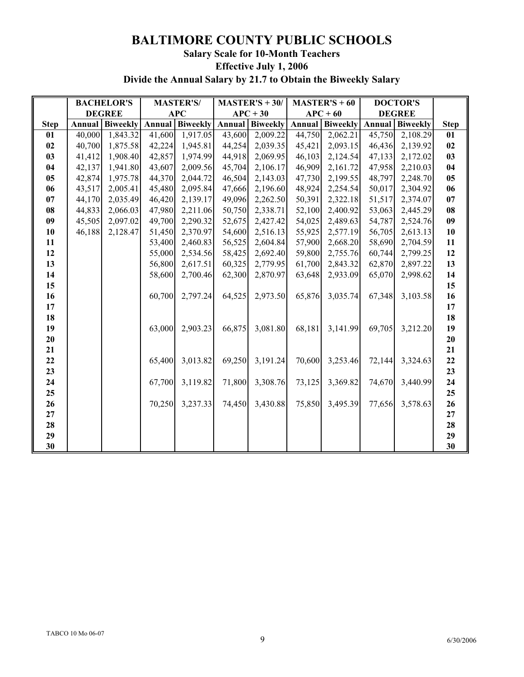## **BALTIMORE COUNTY PUBLIC SCHOOLS Salary Scale for 10-Month Teachers Effective July 1, 2006 Divide the Annual Salary by 21.7 to Obtain the Biweekly Salary**

|             | <b>BACHELOR'S</b> |                 | <b>MASTER'S/</b> |                   | $MASTER'S + 30/$ |                 | <b>MASTER'S</b> + 60 |                                     | <b>DOCTOR'S</b> |                 |                |
|-------------|-------------------|-----------------|------------------|-------------------|------------------|-----------------|----------------------|-------------------------------------|-----------------|-----------------|----------------|
|             | <b>DEGREE</b>     |                 | <b>APC</b>       |                   | $APC + 30$       |                 | $APC + 60$           |                                     | <b>DEGREE</b>   |                 |                |
| <b>Step</b> | Annual            | <b>Biweekly</b> |                  | Annual   Biweekly | Annual           | <b>Biweekly</b> |                      | <b>Annual   Biweekly   Annual  </b> |                 | <b>Biweekly</b> | <b>Step</b>    |
| 01          | 40,000            | 1,843.32        | 41,600           | 1,917.05          | 43,600           | 2,009.22        | 44,750               | 2,062.21                            | 45,750          | 2,108.29        | 01             |
| 02          | 40,700            | 1,875.58        | 42,224           | 1,945.81          | 44,254           | 2,039.35        | 45,421               | 2,093.15                            | 46,436          | 2,139.92        | 02             |
| 03          | 41,412            | 1,908.40        | 42,857           | 1,974.99          | 44,918           | 2,069.95        | 46,103               | 2,124.54                            | 47,133          | 2,172.02        | 03             |
| 04          | 42,137            | 1,941.80        | 43,607           | 2,009.56          | 45,704           | 2,106.17        | 46,909               | 2,161.72                            | 47,958          | 2,210.03        | 04             |
| 05          | 42,874            | 1,975.78        | 44,370           | 2,044.72          | 46,504           | 2,143.03        | 47,730               | 2,199.55                            | 48,797          | 2,248.70        | 0 <sub>5</sub> |
| 06          | 43,517            | 2,005.41        | 45,480           | 2,095.84          | 47,666           | 2,196.60        | 48,924               | 2,254.54                            | 50,017          | 2,304.92        | 06             |
| 07          | 44,170            | 2,035.49        | 46,420           | 2,139.17          | 49,096           | 2,262.50        | 50,391               | 2,322.18                            | 51,517          | 2,374.07        | 07             |
| 08          | 44,833            | 2,066.03        | 47,980           | 2,211.06          | 50,750           | 2,338.71        | 52,100               | 2,400.92                            | 53,063          | 2,445.29        | 08             |
| 09          | 45,505            | 2,097.02        | 49,700           | 2,290.32          | 52,675           | 2,427.42        | 54,025               | 2,489.63                            | 54,787          | 2,524.76        | 09             |
| 10          | 46,188            | 2,128.47        | 51,450           | 2,370.97          | 54,600           | 2,516.13        | 55,925               | 2,577.19                            | 56,705          | 2,613.13        | 10             |
| 11          |                   |                 | 53,400           | 2,460.83          | 56,525           | 2,604.84        | 57,900               | 2,668.20                            | 58,690          | 2,704.59        | 11             |
| 12          |                   |                 | 55,000           | 2,534.56          | 58,425           | 2,692.40        | 59,800               | 2,755.76                            | 60,744          | 2,799.25        | 12             |
| 13          |                   |                 | 56,800           | 2,617.51          | 60,325           | 2,779.95        | 61,700               | 2,843.32                            | 62,870          | 2,897.22        | 13             |
| 14          |                   |                 | 58,600           | 2,700.46          | 62,300           | 2,870.97        | 63,648               | 2,933.09                            | 65,070          | 2,998.62        | 14             |
| 15          |                   |                 |                  |                   |                  |                 |                      |                                     |                 |                 | 15             |
| 16          |                   |                 | 60,700           | 2,797.24          | 64,525           | 2,973.50        | 65,876               | 3,035.74                            | 67,348          | 3,103.58        | 16             |
| 17          |                   |                 |                  |                   |                  |                 |                      |                                     |                 |                 | 17             |
| 18          |                   |                 |                  |                   |                  |                 |                      |                                     |                 |                 | 18             |
| 19          |                   |                 | 63,000           | 2,903.23          | 66,875           | 3,081.80        | 68,181               | 3,141.99                            | 69,705          | 3,212.20        | 19             |
| 20          |                   |                 |                  |                   |                  |                 |                      |                                     |                 |                 | $20\,$         |
| 21          |                   |                 |                  |                   |                  |                 |                      |                                     |                 |                 | 21             |
| 22          |                   |                 | 65,400           | 3,013.82          | 69,250           | 3,191.24        | 70,600               | 3,253.46                            | 72,144          | 3,324.63        | 22             |
| 23          |                   |                 |                  |                   |                  |                 |                      |                                     |                 |                 | 23             |
| 24          |                   |                 | 67,700           | 3,119.82          | 71,800           | 3,308.76        | 73,125               | 3,369.82                            | 74,670          | 3,440.99        | 24             |
| 25          |                   |                 |                  |                   |                  |                 |                      |                                     |                 |                 | 25             |
| 26          |                   |                 | 70,250           | 3,237.33          | 74,450           | 3,430.88        | 75,850               | 3,495.39                            | 77,656          | 3,578.63        | 26             |
| 27          |                   |                 |                  |                   |                  |                 |                      |                                     |                 |                 | $\bf 27$       |
| 28          |                   |                 |                  |                   |                  |                 |                      |                                     |                 |                 | 28             |
| 29          |                   |                 |                  |                   |                  |                 |                      |                                     |                 |                 | 29             |
| 30          |                   |                 |                  |                   |                  |                 |                      |                                     |                 |                 | 30             |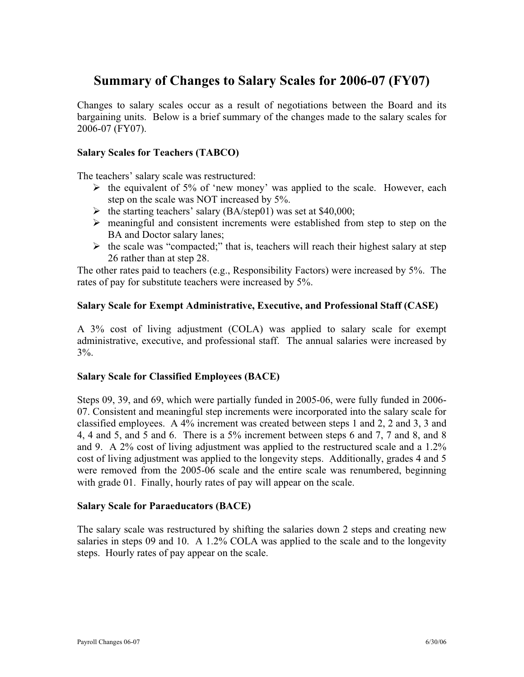# **Summary of Changes to Salary Scales for 2006-07 (FY07)**

Changes to salary scales occur as a result of negotiations between the Board and its bargaining units. Below is a brief summary of the changes made to the salary scales for 2006-07 (FY07).

#### **Salary Scales for Teachers (TABCO)**

The teachers' salary scale was restructured:

- $\triangleright$  the equivalent of 5% of 'new money' was applied to the scale. However, each step on the scale was NOT increased by 5%.
- $\blacktriangleright$  the starting teachers' salary (BA/step01) was set at \$40,000;
- $\triangleright$  meaningful and consistent increments were established from step to step on the BA and Doctor salary lanes;
- $\triangleright$  the scale was "compacted;" that is, teachers will reach their highest salary at step 26 rather than at step 28.

The other rates paid to teachers (e.g., Responsibility Factors) were increased by 5%. The rates of pay for substitute teachers were increased by 5%.

### **Salary Scale for Exempt Administrative, Executive, and Professional Staff (CASE)**

A 3% cost of living adjustment (COLA) was applied to salary scale for exempt administrative, executive, and professional staff. The annual salaries were increased by  $3\%$ .

#### **Salary Scale for Classified Employees (BACE)**

Steps 09, 39, and 69, which were partially funded in 2005-06, were fully funded in 2006- 07. Consistent and meaningful step increments were incorporated into the salary scale for classified employees. A 4% increment was created between steps 1 and 2, 2 and 3, 3 and 4, 4 and 5, and 5 and 6. There is a 5% increment between steps 6 and 7, 7 and 8, and 8 and 9. A 2% cost of living adjustment was applied to the restructured scale and a 1.2% cost of living adjustment was applied to the longevity steps. Additionally, grades 4 and 5 were removed from the 2005-06 scale and the entire scale was renumbered, beginning with grade 01. Finally, hourly rates of pay will appear on the scale.

#### **Salary Scale for Paraeducators (BACE)**

The salary scale was restructured by shifting the salaries down 2 steps and creating new salaries in steps 09 and 10. A 1.2% COLA was applied to the scale and to the longevity steps. Hourly rates of pay appear on the scale.